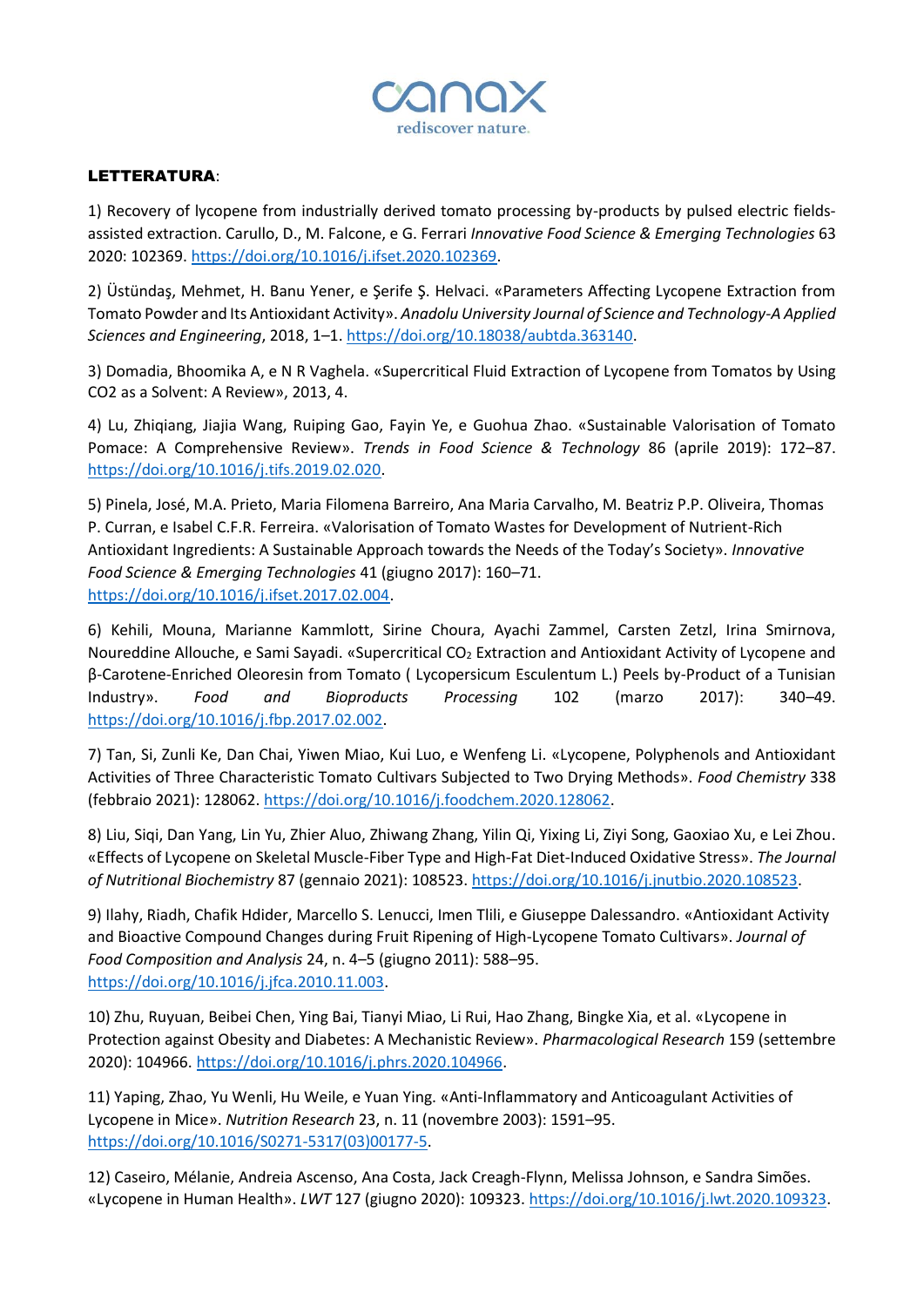

## LETTERATURA:

1) Recovery of lycopene from industrially derived tomato processing by-products by pulsed electric fieldsassisted extraction. Carullo, D., M. Falcone, e G. Ferrari *Innovative Food Science & Emerging Technologies* 63 2020: 102369. [https://doi.org/10.1016/j.ifset.2020.102369.](https://doi.org/10.1016/j.ifset.2020.102369)

2) Üstündaş, Mehmet, H. Banu Yener, e Şerife Ş. Helvaci. «Parameters Affecting Lycopene Extraction from Tomato Powder and Its Antioxidant Activity». *Anadolu University Journal of Science and Technology-A Applied Sciences and Engineering*, 2018, 1–1. [https://doi.org/10.18038/aubtda.363140.](https://doi.org/10.18038/aubtda.363140)

3) Domadia, Bhoomika A, e N R Vaghela. «Supercritical Fluid Extraction of Lycopene from Tomatos by Using CO2 as a Solvent: A Review», 2013, 4.

4) Lu, Zhiqiang, Jiajia Wang, Ruiping Gao, Fayin Ye, e Guohua Zhao. «Sustainable Valorisation of Tomato Pomace: A Comprehensive Review». *Trends in Food Science & Technology* 86 (aprile 2019): 172–87. [https://doi.org/10.1016/j.tifs.2019.02.020.](https://doi.org/10.1016/j.tifs.2019.02.020)

5) Pinela, José, M.A. Prieto, Maria Filomena Barreiro, Ana Maria Carvalho, M. Beatriz P.P. Oliveira, Thomas P. Curran, e Isabel C.F.R. Ferreira. «Valorisation of Tomato Wastes for Development of Nutrient-Rich Antioxidant Ingredients: A Sustainable Approach towards the Needs of the Today's Society». *Innovative Food Science & Emerging Technologies* 41 (giugno 2017): 160–71. [https://doi.org/10.1016/j.ifset.2017.02.004.](https://doi.org/10.1016/j.ifset.2017.02.004)

6) Kehili, Mouna, Marianne Kammlott, Sirine Choura, Ayachi Zammel, Carsten Zetzl, Irina Smirnova, Noureddine Allouche, e Sami Sayadi. «Supercritical CO<sub>2</sub> Extraction and Antioxidant Activity of Lycopene and β-Carotene-Enriched Oleoresin from Tomato ( Lycopersicum Esculentum L.) Peels by-Product of a Tunisian Industry». *Food and Bioproducts Processing* 102 (marzo 2017): 340–49. [https://doi.org/10.1016/j.fbp.2017.02.002.](https://doi.org/10.1016/j.fbp.2017.02.002)

7) Tan, Si, Zunli Ke, Dan Chai, Yiwen Miao, Kui Luo, e Wenfeng Li. «Lycopene, Polyphenols and Antioxidant Activities of Three Characteristic Tomato Cultivars Subjected to Two Drying Methods». *Food Chemistry* 338 (febbraio 2021): 128062. [https://doi.org/10.1016/j.foodchem.2020.128062.](https://doi.org/10.1016/j.foodchem.2020.128062)

8) Liu, Siqi, Dan Yang, Lin Yu, Zhier Aluo, Zhiwang Zhang, Yilin Qi, Yixing Li, Ziyi Song, Gaoxiao Xu, e Lei Zhou. «Effects of Lycopene on Skeletal Muscle-Fiber Type and High-Fat Diet-Induced Oxidative Stress». *The Journal of Nutritional Biochemistry* 87 (gennaio 2021): 108523. [https://doi.org/10.1016/j.jnutbio.2020.108523.](https://doi.org/10.1016/j.jnutbio.2020.108523)

9) Ilahy, Riadh, Chafik Hdider, Marcello S. Lenucci, Imen Tlili, e Giuseppe Dalessandro. «Antioxidant Activity and Bioactive Compound Changes during Fruit Ripening of High-Lycopene Tomato Cultivars». *Journal of Food Composition and Analysis* 24, n. 4–5 (giugno 2011): 588–95. [https://doi.org/10.1016/j.jfca.2010.11.003.](https://doi.org/10.1016/j.jfca.2010.11.003)

10) Zhu, Ruyuan, Beibei Chen, Ying Bai, Tianyi Miao, Li Rui, Hao Zhang, Bingke Xia, et al. «Lycopene in Protection against Obesity and Diabetes: A Mechanistic Review». *Pharmacological Research* 159 (settembre 2020): 104966[. https://doi.org/10.1016/j.phrs.2020.104966.](https://doi.org/10.1016/j.phrs.2020.104966)

11) Yaping, Zhao, Yu Wenli, Hu Weile, e Yuan Ying. «Anti-Inflammatory and Anticoagulant Activities of Lycopene in Mice». *Nutrition Research* 23, n. 11 (novembre 2003): 1591–95. [https://doi.org/10.1016/S0271-5317\(03\)00177-5.](https://doi.org/10.1016/S0271-5317(03)00177-5)

12) Caseiro, Mélanie, Andreia Ascenso, Ana Costa, Jack Creagh-Flynn, Melissa Johnson, e Sandra Simões. «Lycopene in Human Health». *LWT* 127 (giugno 2020): 109323. [https://doi.org/10.1016/j.lwt.2020.109323.](https://doi.org/10.1016/j.lwt.2020.109323)